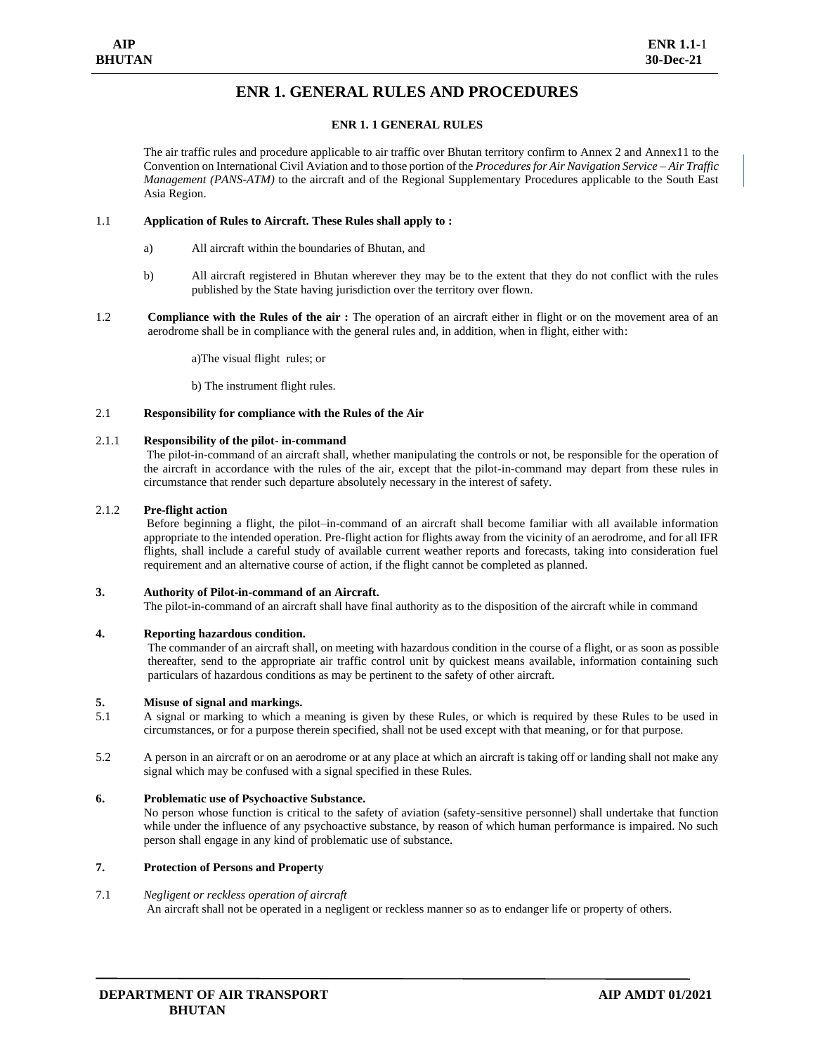# **ENR 1. GENERAL RULES AND PROCEDURES**

# **ENR 1. 1 GENERAL RULES**

The air traffic rules and procedure applicable to air traffic over Bhutan territory confirm to Annex 2 and Annex11 to the Convention on International Civil Aviation and to those portion of the *Procedures for Air Navigation Service – Air Traffic Management (PANS-ATM)* to the aircraft and of the Regional Supplementary Procedures applicable to the South East Asia Region.

# 1.1 **Application of Rules to Aircraft. These Rules shall apply to :**

- a) All aircraft within the boundaries of Bhutan, and
- b) All aircraft registered in Bhutan wherever they may be to the extent that they do not conflict with the rules published by the State having jurisdiction over the territory over flown.
- 1.2 **Compliance with the Rules of the air :** The operation of an aircraft either in flight or on the movement area of an aerodrome shall be in compliance with the general rules and, in addition, when in flight, either with:

a)The visual flight rules; or

b) The instrument flight rules.

#### 2.1 **Responsibility for compliance with the Rules of the Air**

#### 2.1.1 **Responsibility of the pilot- in-command**

The pilot-in-command of an aircraft shall, whether manipulating the controls or not, be responsible for the operation of the aircraft in accordance with the rules of the air, except that the pilot-in-command may depart from these rules in circumstance that render such departure absolutely necessary in the interest of safety.

#### 2.1.2 **Pre-flight action**

Before beginning a flight, the pilot–in-command of an aircraft shall become familiar with all available information appropriate to the intended operation. Pre-flight action for flights away from the vicinity of an aerodrome, and for all IFR flights, shall include a careful study of available current weather reports and forecasts, taking into consideration fuel requirement and an alternative course of action, if the flight cannot be completed as planned.

#### **3. Authority of Pilot-in-command of an Aircraft.**

The pilot-in-command of an aircraft shall have final authority as to the disposition of the aircraft while in command

### **4. Reporting hazardous condition.**

The commander of an aircraft shall, on meeting with hazardous condition in the course of a flight, or as soon as possible thereafter, send to the appropriate air traffic control unit by quickest means available, information containing such particulars of hazardous conditions as may be pertinent to the safety of other aircraft.

#### **5. Misuse of signal and markings.**

- 5.1 A signal or marking to which a meaning is given by these Rules, or which is required by these Rules to be used in circumstances, or for a purpose therein specified, shall not be used except with that meaning, or for that purpose.
- 5.2 A person in an aircraft or on an aerodrome or at any place at which an aircraft is taking off or landing shall not make any signal which may be confused with a signal specified in these Rules.

# **6. Problematic use of Psychoactive Substance.**

No person whose function is critical to the safety of aviation (safety-sensitive personnel) shall undertake that function while under the influence of any psychoactive substance, by reason of which human performance is impaired. No such person shall engage in any kind of problematic use of substance.

# **7. Protection of Persons and Property**

#### 7.1 *Negligent or reckless operation of aircraft*

An aircraft shall not be operated in a negligent or reckless manner so as to endanger life or property of others.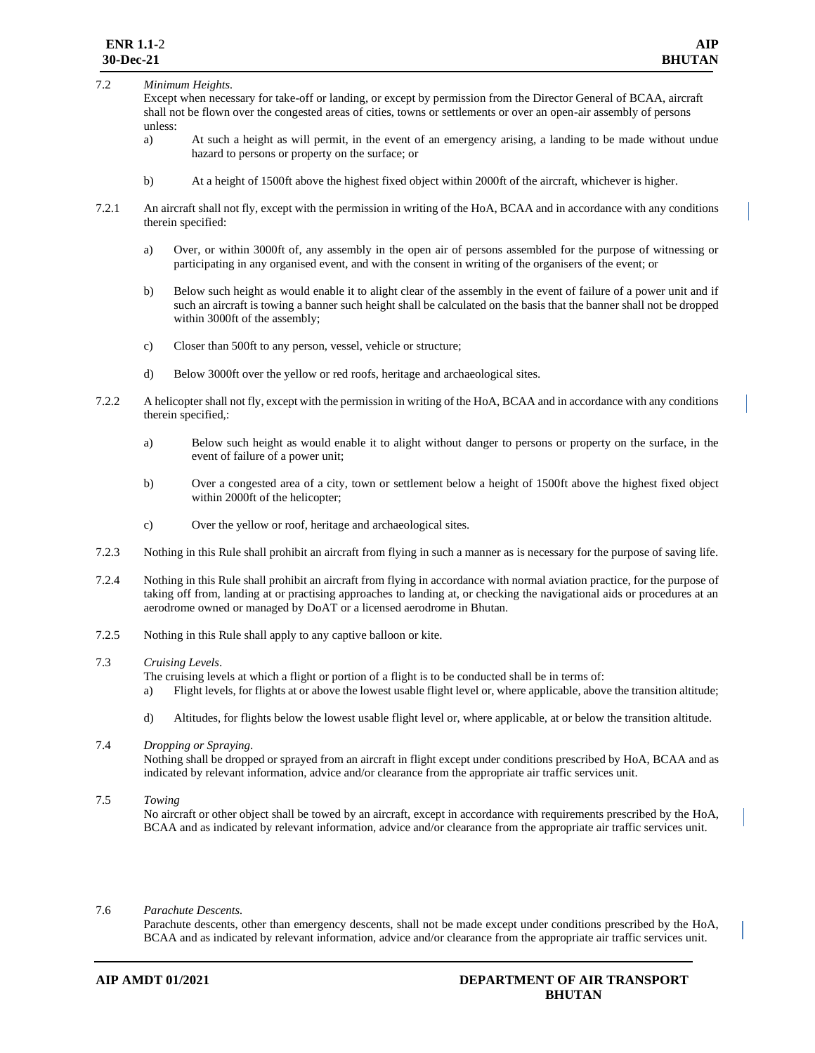# 7.2 *Minimum Heights.*

Except when necessary for take-off or landing, or except by permission from the Director General of BCAA, aircraft shall not be flown over the congested areas of cities, towns or settlements or over an open-air assembly of persons unless:

- a) At such a height as will permit, in the event of an emergency arising, a landing to be made without undue hazard to persons or property on the surface; or
- b) At a height of 1500ft above the highest fixed object within 2000ft of the aircraft, whichever is higher.
- 7.2.1 An aircraft shall not fly, except with the permission in writing of the HoA, BCAA and in accordance with any conditions therein specified:
	- a) Over, or within 3000ft of, any assembly in the open air of persons assembled for the purpose of witnessing or participating in any organised event, and with the consent in writing of the organisers of the event; or
	- b) Below such height as would enable it to alight clear of the assembly in the event of failure of a power unit and if such an aircraft is towing a banner such height shall be calculated on the basis that the banner shall not be dropped within 3000ft of the assembly;
	- c) Closer than 500ft to any person, vessel, vehicle or structure;
	- d) Below 3000ft over the yellow or red roofs, heritage and archaeological sites.
- 7.2.2 A helicopter shall not fly, except with the permission in writing of the HoA, BCAA and in accordance with any conditions therein specified,:
	- a) Below such height as would enable it to alight without danger to persons or property on the surface, in the event of failure of a power unit;
	- b) Over a congested area of a city, town or settlement below a height of 1500ft above the highest fixed object within 2000ft of the helicopter;
	- c) Over the yellow or roof, heritage and archaeological sites.
- 7.2.3 Nothing in this Rule shall prohibit an aircraft from flying in such a manner as is necessary for the purpose of saving life.
- 7.2.4 Nothing in this Rule shall prohibit an aircraft from flying in accordance with normal aviation practice, for the purpose of taking off from, landing at or practising approaches to landing at, or checking the navigational aids or procedures at an aerodrome owned or managed by DoAT or a licensed aerodrome in Bhutan.
- 7.2.5 Nothing in this Rule shall apply to any captive balloon or kite.
- 7.3 *Cruising Levels*.
	- The cruising levels at which a flight or portion of a flight is to be conducted shall be in terms of:
	- a) Flight levels, for flights at or above the lowest usable flight level or, where applicable, above the transition altitude;
	- d) Altitudes, for flights below the lowest usable flight level or, where applicable, at or below the transition altitude.
- 7.4 *Dropping or Spraying*.

Nothing shall be dropped or sprayed from an aircraft in flight except under conditions prescribed by HoA, BCAA and as indicated by relevant information, advice and/or clearance from the appropriate air traffic services unit.

#### 7.5 *Towing*

No aircraft or other object shall be towed by an aircraft, except in accordance with requirements prescribed by the HoA, BCAA and as indicated by relevant information, advice and/or clearance from the appropriate air traffic services unit.

7.6 *Parachute Descents.*

Parachute descents, other than emergency descents, shall not be made except under conditions prescribed by the HoA, BCAA and as indicated by relevant information, advice and/or clearance from the appropriate air traffic services unit.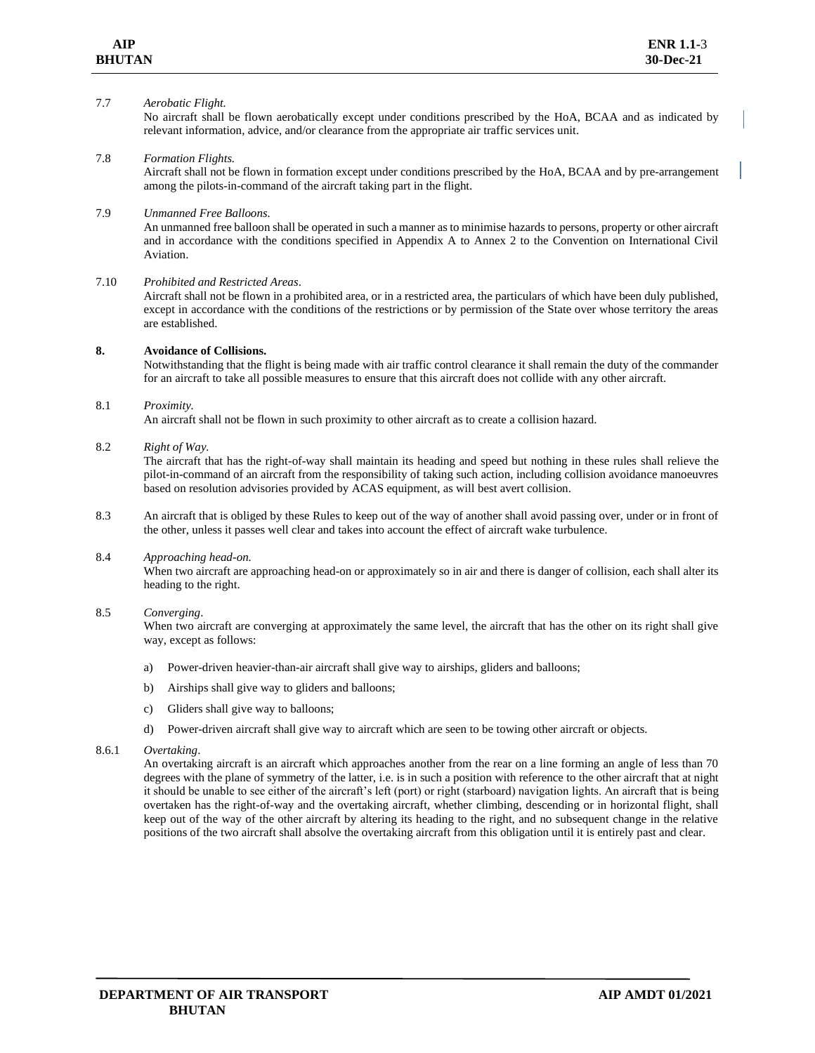#### 7.7 *Aerobatic Flight.*

No aircraft shall be flown aerobatically except under conditions prescribed by the HoA, BCAA and as indicated by relevant information, advice, and/or clearance from the appropriate air traffic services unit.

#### 7.8 *Formation Flights.*

Aircraft shall not be flown in formation except under conditions prescribed by the HoA, BCAA and by pre-arrangement among the pilots-in-command of the aircraft taking part in the flight.

# 7.9 *Unmanned Free Balloons.*

An unmanned free balloon shall be operated in such a manner as to minimise hazards to persons, property or other aircraft and in accordance with the conditions specified in Appendix A to Annex 2 to the Convention on International Civil Aviation.

#### 7.10 *Prohibited and Restricted Areas*.

Aircraft shall not be flown in a prohibited area, or in a restricted area, the particulars of which have been duly published, except in accordance with the conditions of the restrictions or by permission of the State over whose territory the areas are established.

# **8. Avoidance of Collisions.**

Notwithstanding that the flight is being made with air traffic control clearance it shall remain the duty of the commander for an aircraft to take all possible measures to ensure that this aircraft does not collide with any other aircraft.

#### 8.1 *Proximity.*

An aircraft shall not be flown in such proximity to other aircraft as to create a collision hazard.

#### 8.2 *Right of Way.*

The aircraft that has the right-of-way shall maintain its heading and speed but nothing in these rules shall relieve the pilot-in-command of an aircraft from the responsibility of taking such action, including collision avoidance manoeuvres based on resolution advisories provided by ACAS equipment, as will best avert collision.

8.3 An aircraft that is obliged by these Rules to keep out of the way of another shall avoid passing over, under or in front of the other, unless it passes well clear and takes into account the effect of aircraft wake turbulence.

#### 8.4 *Approaching head-on.*

When two aircraft are approaching head-on or approximately so in air and there is danger of collision, each shall alter its heading to the right.

#### 8.5 *Converging*.

When two aircraft are converging at approximately the same level, the aircraft that has the other on its right shall give way, except as follows:

- a) Power-driven heavier-than-air aircraft shall give way to airships, gliders and balloons;
- b) Airships shall give way to gliders and balloons;
- c) Gliders shall give way to balloons;
- d) Power-driven aircraft shall give way to aircraft which are seen to be towing other aircraft or objects.

#### 8.6.1 *Overtaking*.

An overtaking aircraft is an aircraft which approaches another from the rear on a line forming an angle of less than 70 degrees with the plane of symmetry of the latter, i.e. is in such a position with reference to the other aircraft that at night it should be unable to see either of the aircraft's left (port) or right (starboard) navigation lights. An aircraft that is being overtaken has the right-of-way and the overtaking aircraft, whether climbing, descending or in horizontal flight, shall keep out of the way of the other aircraft by altering its heading to the right, and no subsequent change in the relative positions of the two aircraft shall absolve the overtaking aircraft from this obligation until it is entirely past and clear.